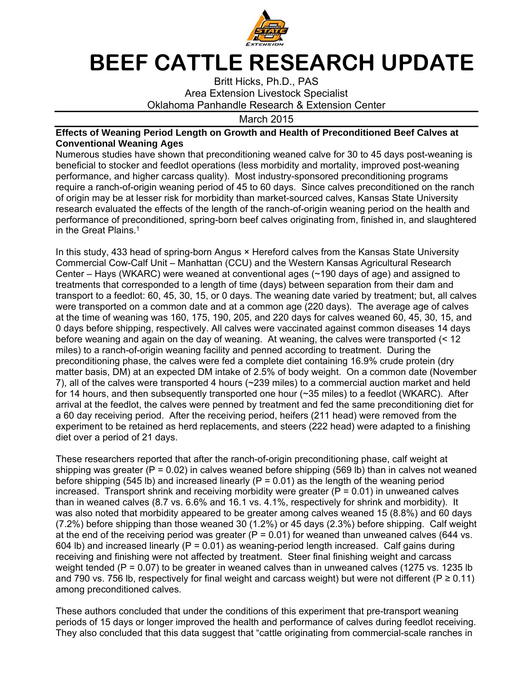

## **BEEF CATTLE RESEARCH UPDATE**

Britt Hicks, Ph.D., PAS Area Extension Livestock Specialist Oklahoma Panhandle Research & Extension Center

March 2015

## **Effects of Weaning Period Length on Growth and Health of Preconditioned Beef Calves at Conventional Weaning Ages**

Numerous studies have shown that preconditioning weaned calve for 30 to 45 days post-weaning is beneficial to stocker and feedlot operations (less morbidity and mortality, improved post-weaning performance, and higher carcass quality). Most industry-sponsored preconditioning programs require a ranch-of-origin weaning period of 45 to 60 days. Since calves preconditioned on the ranch of origin may be at lesser risk for morbidity than market-sourced calves, Kansas State University research evaluated the effects of the length of the ranch-of-origin weaning period on the health and performance of preconditioned, spring-born beef calves originating from, finished in, and slaughtered in the Great Plains.<sup>1</sup>

In this study, 433 head of spring-born Angus × Hereford calves from the Kansas State University Commercial Cow-Calf Unit – Manhattan (CCU) and the Western Kansas Agricultural Research Center – Hays (WKARC) were weaned at conventional ages (~190 days of age) and assigned to treatments that corresponded to a length of time (days) between separation from their dam and transport to a feedlot: 60, 45, 30, 15, or 0 days. The weaning date varied by treatment; but, all calves were transported on a common date and at a common age (220 days). The average age of calves at the time of weaning was 160, 175, 190, 205, and 220 days for calves weaned 60, 45, 30, 15, and 0 days before shipping, respectively. All calves were vaccinated against common diseases 14 days before weaning and again on the day of weaning. At weaning, the calves were transported (< 12 miles) to a ranch-of-origin weaning facility and penned according to treatment. During the preconditioning phase, the calves were fed a complete diet containing 16.9% crude protein (dry matter basis, DM) at an expected DM intake of 2.5% of body weight. On a common date (November 7), all of the calves were transported 4 hours (~239 miles) to a commercial auction market and held for 14 hours, and then subsequently transported one hour (~35 miles) to a feedlot (WKARC). After arrival at the feedlot, the calves were penned by treatment and fed the same preconditioning diet for a 60 day receiving period. After the receiving period, heifers (211 head) were removed from the experiment to be retained as herd replacements, and steers (222 head) were adapted to a finishing diet over a period of 21 days.

These researchers reported that after the ranch-of-origin preconditioning phase, calf weight at shipping was greater ( $P = 0.02$ ) in calves weaned before shipping (569 lb) than in calves not weaned before shipping (545 lb) and increased linearly ( $P = 0.01$ ) as the length of the weaning period increased. Transport shrink and receiving morbidity were greater ( $P = 0.01$ ) in unweaned calves than in weaned calves (8.7 vs. 6.6% and 16.1 vs. 4.1%, respectively for shrink and morbidity). It was also noted that morbidity appeared to be greater among calves weaned 15 (8.8%) and 60 days (7.2%) before shipping than those weaned 30 (1.2%) or 45 days (2.3%) before shipping. Calf weight at the end of the receiving period was greater ( $P = 0.01$ ) for weaned than unweaned calves (644 vs. 604 lb) and increased linearly ( $P = 0.01$ ) as weaning-period length increased. Calf gains during receiving and finishing were not affected by treatment. Steer final finishing weight and carcass weight tended ( $P = 0.07$ ) to be greater in weaned calves than in unweaned calves (1275 vs. 1235 lb and 790 vs. 756 lb, respectively for final weight and carcass weight) but were not different ( $P \ge 0.11$ ) among preconditioned calves.

These authors concluded that under the conditions of this experiment that pre-transport weaning periods of 15 days or longer improved the health and performance of calves during feedlot receiving. They also concluded that this data suggest that "cattle originating from commercial-scale ranches in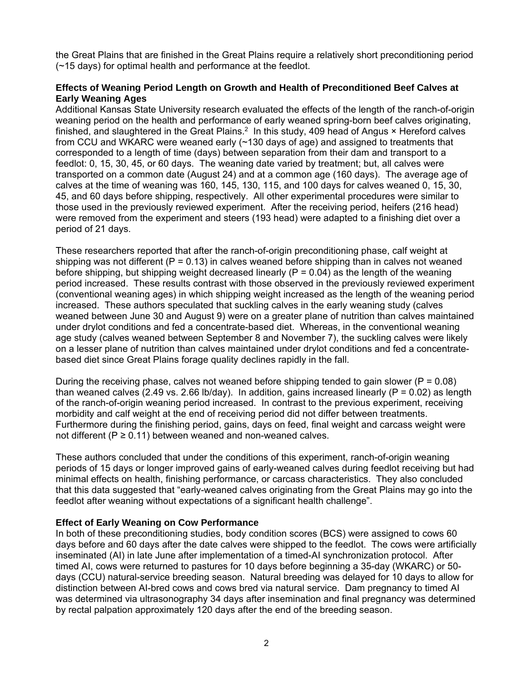the Great Plains that are finished in the Great Plains require a relatively short preconditioning period (~15 days) for optimal health and performance at the feedlot.

## **Effects of Weaning Period Length on Growth and Health of Preconditioned Beef Calves at Early Weaning Ages**

Additional Kansas State University research evaluated the effects of the length of the ranch-of-origin weaning period on the health and performance of early weaned spring-born beef calves originating, finished, and slaughtered in the Great Plains.<sup>2</sup> In this study, 409 head of Angus  $\times$  Hereford calves from CCU and WKARC were weaned early (~130 days of age) and assigned to treatments that corresponded to a length of time (days) between separation from their dam and transport to a feedlot: 0, 15, 30, 45, or 60 days. The weaning date varied by treatment; but, all calves were transported on a common date (August 24) and at a common age (160 days). The average age of calves at the time of weaning was 160, 145, 130, 115, and 100 days for calves weaned 0, 15, 30, 45, and 60 days before shipping, respectively. All other experimental procedures were similar to those used in the previously reviewed experiment. After the receiving period, heifers (216 head) were removed from the experiment and steers (193 head) were adapted to a finishing diet over a period of 21 days.

These researchers reported that after the ranch-of-origin preconditioning phase, calf weight at shipping was not different ( $P = 0.13$ ) in calves weaned before shipping than in calves not weaned before shipping, but shipping weight decreased linearly ( $P = 0.04$ ) as the length of the weaning period increased. These results contrast with those observed in the previously reviewed experiment (conventional weaning ages) in which shipping weight increased as the length of the weaning period increased. These authors speculated that suckling calves in the early weaning study (calves weaned between June 30 and August 9) were on a greater plane of nutrition than calves maintained under drylot conditions and fed a concentrate-based diet. Whereas, in the conventional weaning age study (calves weaned between September 8 and November 7), the suckling calves were likely on a lesser plane of nutrition than calves maintained under drylot conditions and fed a concentratebased diet since Great Plains forage quality declines rapidly in the fall.

During the receiving phase, calves not weaned before shipping tended to gain slower ( $P = 0.08$ ) than weaned calves (2.49 vs. 2.66 lb/day). In addition, gains increased linearly ( $P = 0.02$ ) as length of the ranch-of-origin weaning period increased. In contrast to the previous experiment, receiving morbidity and calf weight at the end of receiving period did not differ between treatments. Furthermore during the finishing period, gains, days on feed, final weight and carcass weight were not different ( $P \ge 0.11$ ) between weaned and non-weaned calves.

These authors concluded that under the conditions of this experiment, ranch-of-origin weaning periods of 15 days or longer improved gains of early-weaned calves during feedlot receiving but had minimal effects on health, finishing performance, or carcass characteristics. They also concluded that this data suggested that "early-weaned calves originating from the Great Plains may go into the feedlot after weaning without expectations of a significant health challenge".

## **Effect of Early Weaning on Cow Performance**

In both of these preconditioning studies, body condition scores (BCS) were assigned to cows 60 days before and 60 days after the date calves were shipped to the feedlot. The cows were artificially inseminated (AI) in late June after implementation of a timed-AI synchronization protocol. After timed AI, cows were returned to pastures for 10 days before beginning a 35-day (WKARC) or 50 days (CCU) natural-service breeding season. Natural breeding was delayed for 10 days to allow for distinction between AI-bred cows and cows bred via natural service. Dam pregnancy to timed AI was determined via ultrasonography 34 days after insemination and final pregnancy was determined by rectal palpation approximately 120 days after the end of the breeding season.